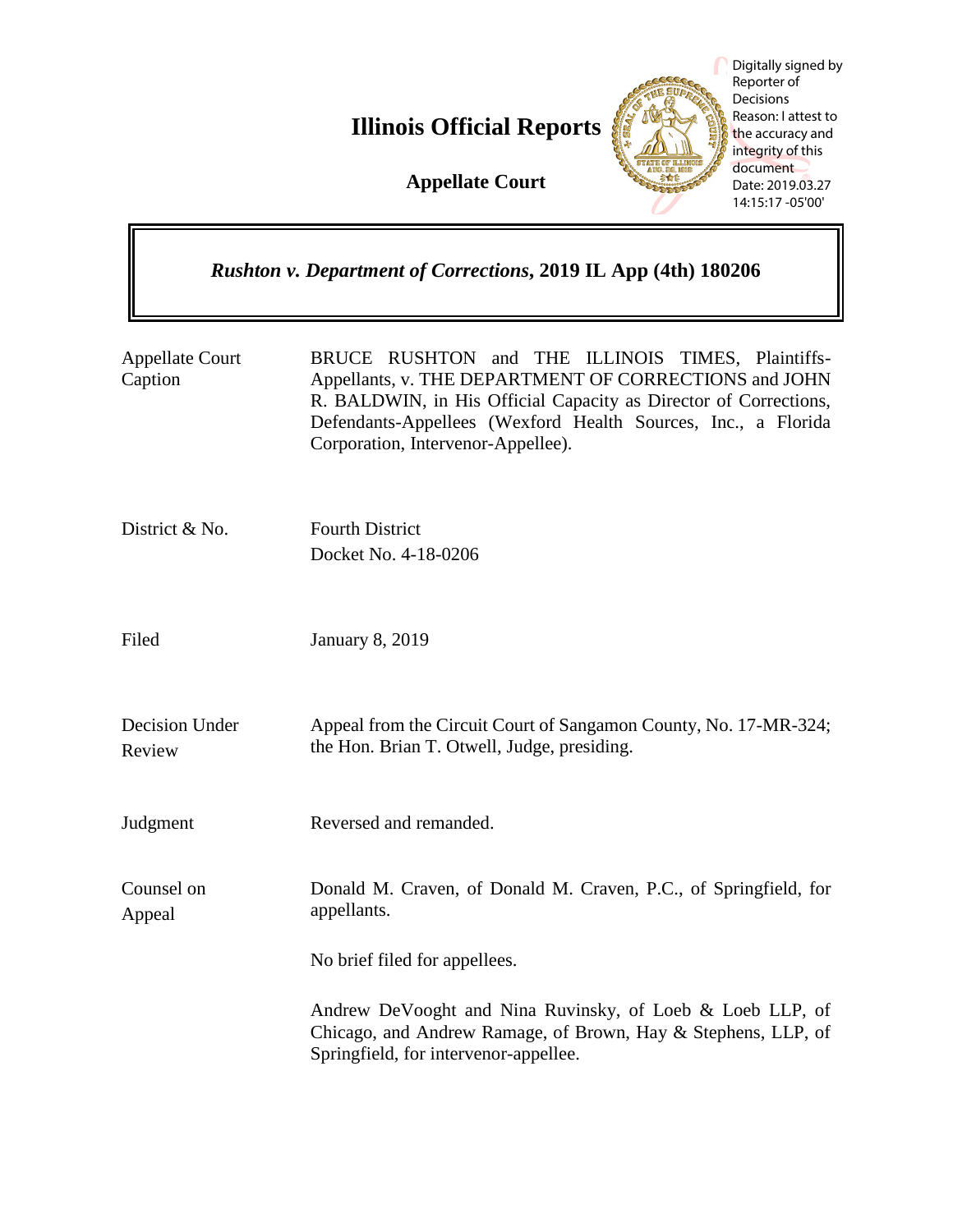**Illinois Official Reports** 

**Appellate Court**



Digitally signed by Reporter of Decisions Reason: I attest to the accuracy and integrity of this document Date: 2019.03.27 14:15:17 -05'00'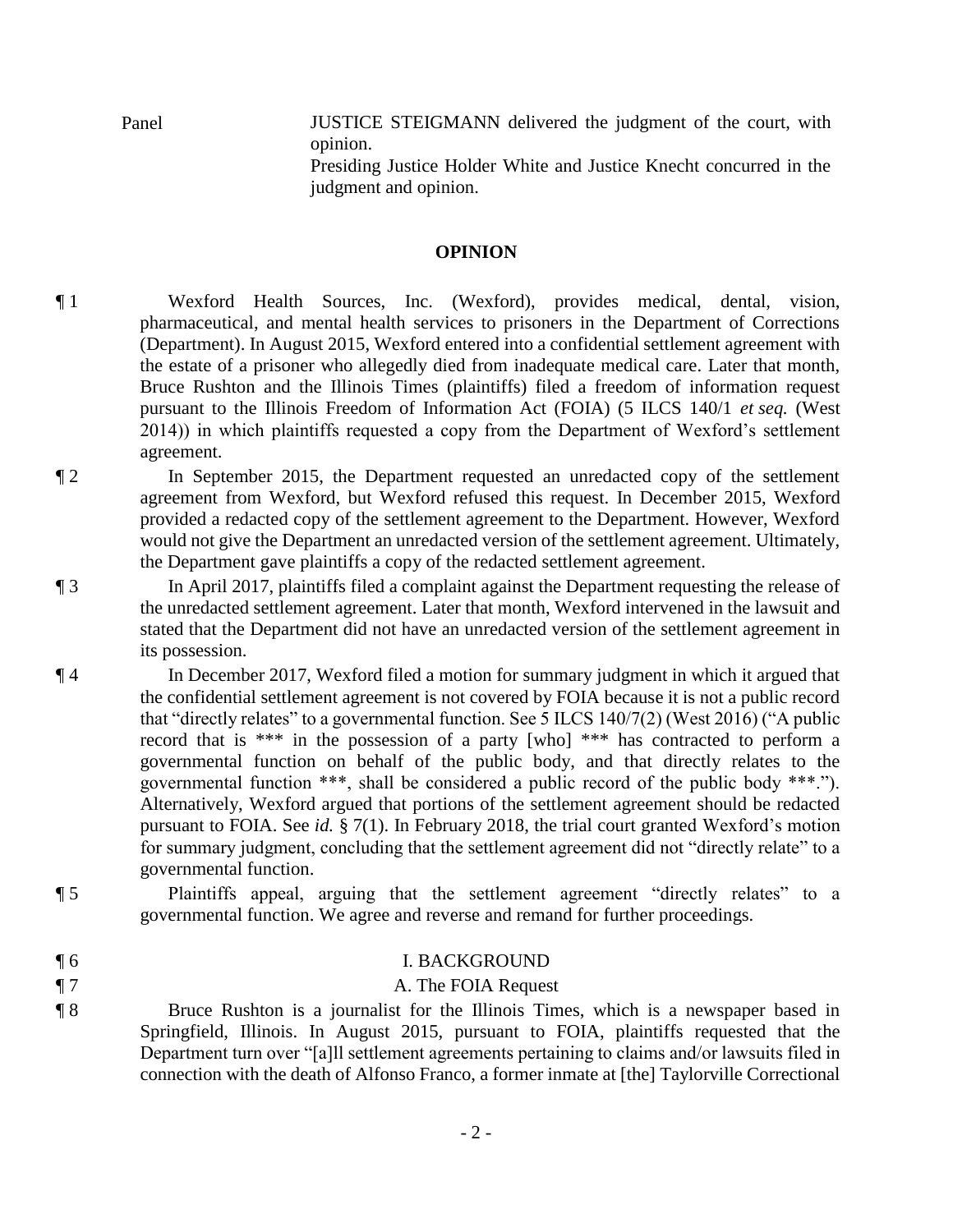Panel **IUSTICE STEIGMANN** delivered the judgment of the court, with opinion.

> Presiding Justice Holder White and Justice Knecht concurred in the judgment and opinion.

### **OPINION**

¶ 1 Wexford Health Sources, Inc. (Wexford), provides medical, dental, vision, pharmaceutical, and mental health services to prisoners in the Department of Corrections (Department). In August 2015, Wexford entered into a confidential settlement agreement with the estate of a prisoner who allegedly died from inadequate medical care. Later that month, Bruce Rushton and the Illinois Times (plaintiffs) filed a freedom of information request pursuant to the Illinois Freedom of Information Act (FOIA) (5 ILCS 140/1 *et seq.* (West 2014)) in which plaintiffs requested a copy from the Department of Wexford's settlement agreement.

¶ 2 In September 2015, the Department requested an unredacted copy of the settlement agreement from Wexford, but Wexford refused this request. In December 2015, Wexford provided a redacted copy of the settlement agreement to the Department. However, Wexford would not give the Department an unredacted version of the settlement agreement. Ultimately, the Department gave plaintiffs a copy of the redacted settlement agreement.

¶ 3 In April 2017, plaintiffs filed a complaint against the Department requesting the release of the unredacted settlement agreement. Later that month, Wexford intervened in the lawsuit and stated that the Department did not have an unredacted version of the settlement agreement in its possession.

¶ 4 In December 2017, Wexford filed a motion for summary judgment in which it argued that the confidential settlement agreement is not covered by FOIA because it is not a public record that "directly relates" to a governmental function. See 5 ILCS 140/7(2) (West 2016) ("A public record that is \*\*\* in the possession of a party [who] \*\*\* has contracted to perform a governmental function on behalf of the public body, and that directly relates to the governmental function \*\*\*, shall be considered a public record of the public body \*\*\*."). Alternatively, Wexford argued that portions of the settlement agreement should be redacted pursuant to FOIA. See *id.* § 7(1). In February 2018, the trial court granted Wexford's motion for summary judgment, concluding that the settlement agreement did not "directly relate" to a governmental function.

- ¶ 5 Plaintiffs appeal, arguing that the settlement agreement "directly relates" to a governmental function. We agree and reverse and remand for further proceedings.
- 

## ¶ 6 I. BACKGROUND

## **T** 7 **A. The FOIA Request**

- 2 -

¶ 8 Bruce Rushton is a journalist for the Illinois Times, which is a newspaper based in Springfield, Illinois. In August 2015, pursuant to FOIA, plaintiffs requested that the Department turn over "[a]ll settlement agreements pertaining to claims and/or lawsuits filed in connection with the death of Alfonso Franco, a former inmate at [the] Taylorville Correctional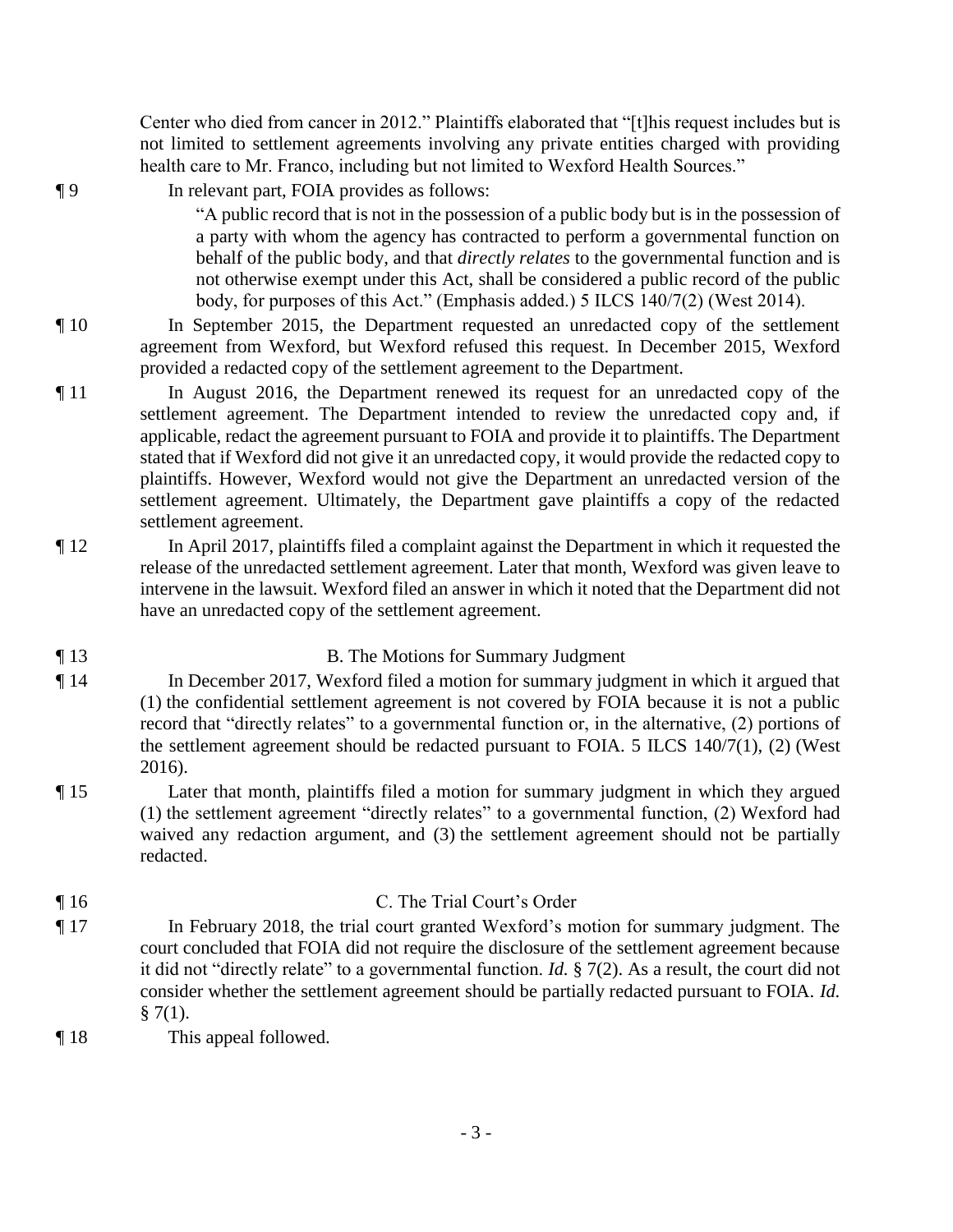Center who died from cancer in 2012." Plaintiffs elaborated that "[t]his request includes but is not limited to settlement agreements involving any private entities charged with providing health care to Mr. Franco, including but not limited to Wexford Health Sources."

¶ 9 In relevant part, FOIA provides as follows:

"A public record that is not in the possession of a public body but is in the possession of a party with whom the agency has contracted to perform a governmental function on behalf of the public body, and that *directly relates* to the governmental function and is not otherwise exempt under this Act, shall be considered a public record of the public body, for purposes of this Act." (Emphasis added.) 5 ILCS 140/7(2) (West 2014).

- ¶ 10 In September 2015, the Department requested an unredacted copy of the settlement agreement from Wexford, but Wexford refused this request. In December 2015, Wexford provided a redacted copy of the settlement agreement to the Department.
- ¶ 11 In August 2016, the Department renewed its request for an unredacted copy of the settlement agreement. The Department intended to review the unredacted copy and, if applicable, redact the agreement pursuant to FOIA and provide it to plaintiffs. The Department stated that if Wexford did not give it an unredacted copy, it would provide the redacted copy to plaintiffs. However, Wexford would not give the Department an unredacted version of the settlement agreement. Ultimately, the Department gave plaintiffs a copy of the redacted settlement agreement.
- ¶ 12 In April 2017, plaintiffs filed a complaint against the Department in which it requested the release of the unredacted settlement agreement. Later that month, Wexford was given leave to intervene in the lawsuit. Wexford filed an answer in which it noted that the Department did not have an unredacted copy of the settlement agreement.

# ¶ 13 B. The Motions for Summary Judgment

- ¶ 14 In December 2017, Wexford filed a motion for summary judgment in which it argued that (1) the confidential settlement agreement is not covered by FOIA because it is not a public record that "directly relates" to a governmental function or, in the alternative, (2) portions of the settlement agreement should be redacted pursuant to FOIA. 5 ILCS 140/7(1), (2) (West 2016).
- ¶ 15 Later that month, plaintiffs filed a motion for summary judgment in which they argued (1) the settlement agreement "directly relates" to a governmental function, (2) Wexford had waived any redaction argument, and (3) the settlement agreement should not be partially redacted.
- ¶ 16 C. The Trial Court's Order ¶ 17 In February 2018, the trial court granted Wexford's motion for summary judgment. The court concluded that FOIA did not require the disclosure of the settlement agreement because it did not "directly relate" to a governmental function. *Id.* § 7(2). As a result, the court did not consider whether the settlement agreement should be partially redacted pursuant to FOIA. *Id.*   $§ 7(1).$
- ¶ 18 This appeal followed.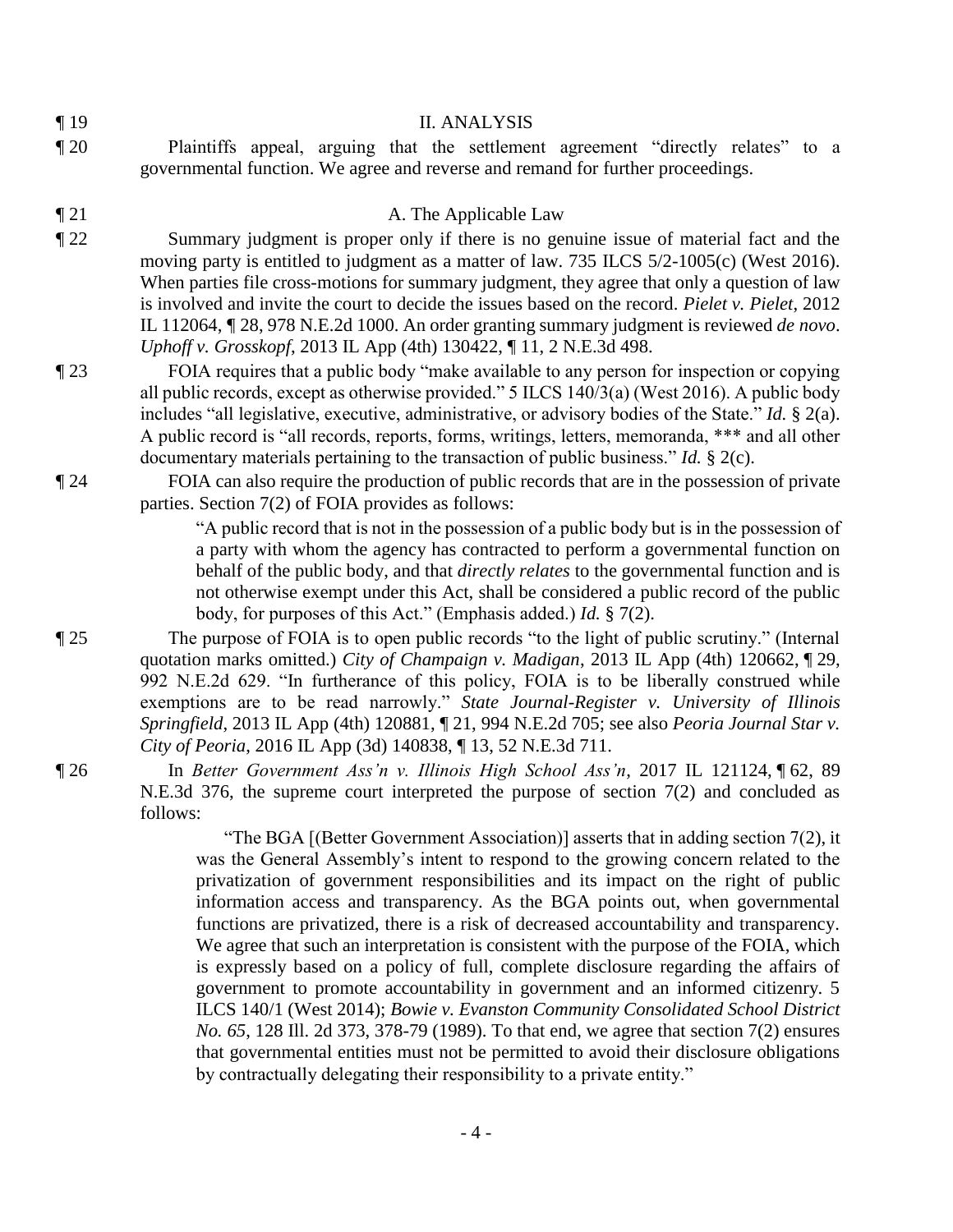| I<br>۰, |  |
|---------|--|
|---------|--|

### **II. ANALYSIS**

¶ 20 Plaintiffs appeal, arguing that the settlement agreement "directly relates" to a governmental function. We agree and reverse and remand for further proceedings.

**The Applicable Law** A. The Applicable Law

- ¶ 22 Summary judgment is proper only if there is no genuine issue of material fact and the moving party is entitled to judgment as a matter of law. 735 ILCS 5/2-1005(c) (West 2016). When parties file cross-motions for summary judgment, they agree that only a question of law is involved and invite the court to decide the issues based on the record. *Pielet v. Pielet*, 2012 IL 112064, ¶ 28, 978 N.E.2d 1000. An order granting summary judgment is reviewed *de novo*. *Uphoff v. Grosskopf*, 2013 IL App (4th) 130422, ¶ 11, 2 N.E.3d 498.
- ¶ 23 FOIA requires that a public body "make available to any person for inspection or copying all public records, except as otherwise provided." 5 ILCS 140/3(a) (West 2016). A public body includes "all legislative, executive, administrative, or advisory bodies of the State." *Id.* § 2(a). A public record is "all records, reports, forms, writings, letters, memoranda, \*\*\* and all other documentary materials pertaining to the transaction of public business." *Id.* § 2(c).
- ¶ 24 FOIA can also require the production of public records that are in the possession of private parties. Section 7(2) of FOIA provides as follows:

"A public record that is not in the possession of a public body but is in the possession of a party with whom the agency has contracted to perform a governmental function on behalf of the public body, and that *directly relates* to the governmental function and is not otherwise exempt under this Act, shall be considered a public record of the public body, for purposes of this Act." (Emphasis added.) *Id.* § 7(2).

¶ 25 The purpose of FOIA is to open public records "to the light of public scrutiny." (Internal quotation marks omitted.) *City of Champaign v. Madigan*, 2013 IL App (4th) 120662, ¶ 29, 992 N.E.2d 629. "In furtherance of this policy, FOIA is to be liberally construed while exemptions are to be read narrowly." *State Journal-Register v. University of Illinois Springfield*, 2013 IL App (4th) 120881, ¶ 21, 994 N.E.2d 705; see also *Peoria Journal Star v. City of Peoria*, 2016 IL App (3d) 140838, ¶ 13, 52 N.E.3d 711.

¶ 26 In *Better Government Ass'n v. Illinois High School Ass'n*, 2017 IL 121124, ¶ 62, 89 N.E.3d 376, the supreme court interpreted the purpose of section 7(2) and concluded as follows:

> "The BGA  $[$ (Better Government Association)] asserts that in adding section 7(2), it was the General Assembly's intent to respond to the growing concern related to the privatization of government responsibilities and its impact on the right of public information access and transparency. As the BGA points out, when governmental functions are privatized, there is a risk of decreased accountability and transparency. We agree that such an interpretation is consistent with the purpose of the FOIA, which is expressly based on a policy of full, complete disclosure regarding the affairs of government to promote accountability in government and an informed citizenry. 5 ILCS 140/1 (West 2014); *Bowie v. Evanston Community Consolidated School District No. 65*, 128 Ill. 2d 373, 378-79 (1989). To that end, we agree that section 7(2) ensures that governmental entities must not be permitted to avoid their disclosure obligations by contractually delegating their responsibility to a private entity."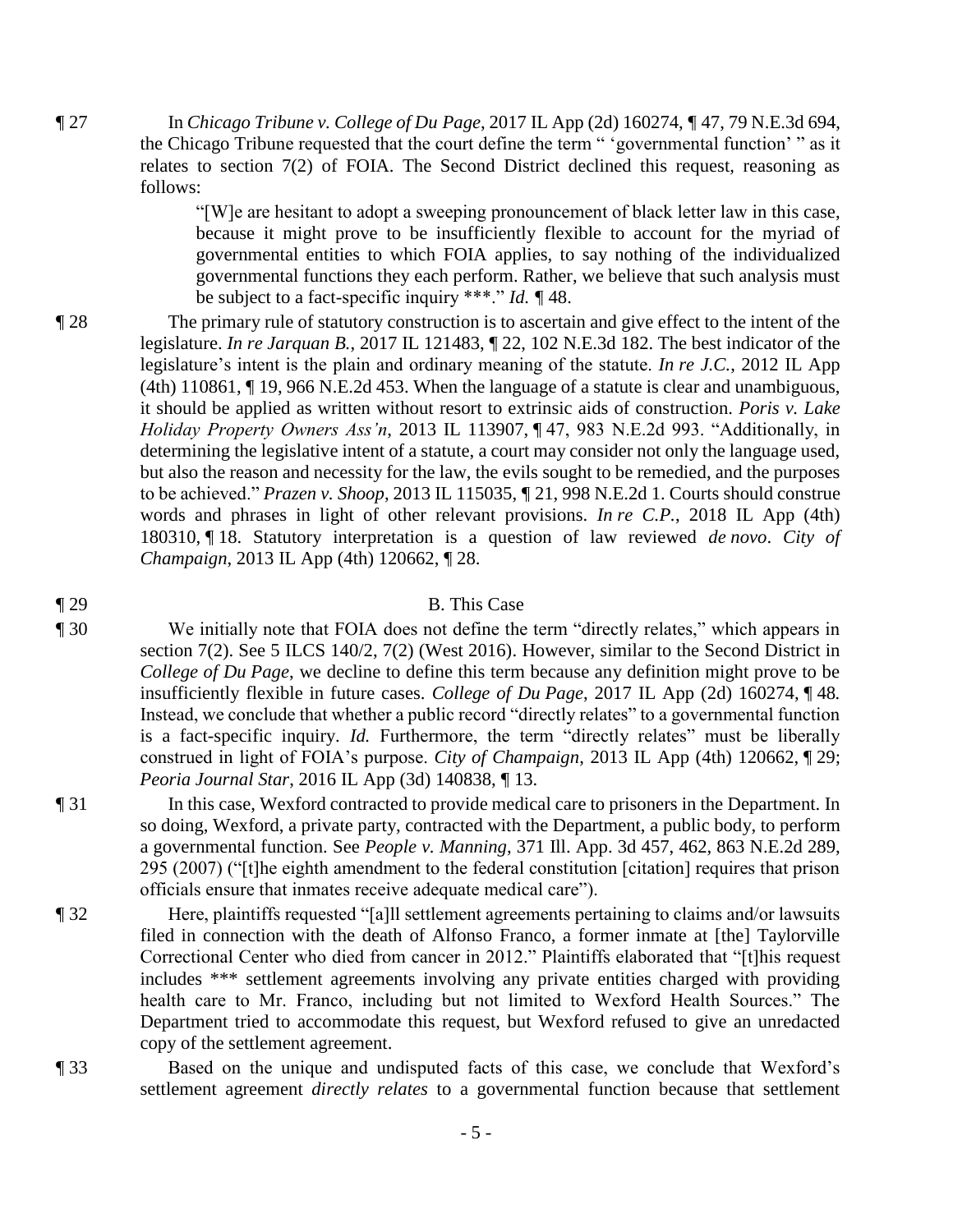¶ 27 In *Chicago Tribune v. College of Du Page*, 2017 IL App (2d) 160274, ¶ 47, 79 N.E.3d 694, the Chicago Tribune requested that the court define the term " 'governmental function' " as it relates to section 7(2) of FOIA. The Second District declined this request, reasoning as follows:

> "[W]e are hesitant to adopt a sweeping pronouncement of black letter law in this case, because it might prove to be insufficiently flexible to account for the myriad of governmental entities to which FOIA applies, to say nothing of the individualized governmental functions they each perform. Rather, we believe that such analysis must be subject to a fact-specific inquiry \*\*\*." *Id. ¶* 48.

¶ 28 The primary rule of statutory construction is to ascertain and give effect to the intent of the legislature. *In re Jarquan B.*, 2017 IL 121483, ¶ 22, 102 N.E.3d 182. The best indicator of the legislature's intent is the plain and ordinary meaning of the statute. *In re J.C.*, 2012 IL App (4th) 110861, ¶ 19, 966 N.E.2d 453. When the language of a statute is clear and unambiguous, it should be applied as written without resort to extrinsic aids of construction. *Poris v. Lake Holiday Property Owners Ass'n*, 2013 IL 113907, ¶ 47, 983 N.E.2d 993. "Additionally, in determining the legislative intent of a statute, a court may consider not only the language used, but also the reason and necessity for the law, the evils sought to be remedied, and the purposes to be achieved." *Prazen v. Shoop*, 2013 IL 115035, ¶ 21, 998 N.E.2d 1. Courts should construe words and phrases in light of other relevant provisions. *In re C.P.*, 2018 IL App (4th) 180310, ¶ 18. Statutory interpretation is a question of law reviewed *de novo*. *City of Champaign*, 2013 IL App (4th) 120662, ¶ 28.

### ¶ 29 B. This Case

- ¶ 30 We initially note that FOIA does not define the term "directly relates," which appears in section 7(2). See 5 ILCS 140/2, 7(2) (West 2016). However, similar to the Second District in *College of Du Page*, we decline to define this term because any definition might prove to be insufficiently flexible in future cases. *College of Du Page*, 2017 IL App (2d) 160274, ¶ 48*.*  Instead, we conclude that whether a public record "directly relates" to a governmental function is a fact-specific inquiry. *Id.* Furthermore, the term "directly relates" must be liberally construed in light of FOIA's purpose. *City of Champaign*, 2013 IL App (4th) 120662, ¶ 29; *Peoria Journal Star*, 2016 IL App (3d) 140838, ¶ 13.
- ¶ 31 In this case, Wexford contracted to provide medical care to prisoners in the Department. In so doing, Wexford, a private party, contracted with the Department, a public body, to perform a governmental function. See *People v. Manning*, 371 Ill. App. 3d 457, 462, 863 N.E.2d 289, 295 (2007) ("[t]he eighth amendment to the federal constitution [citation] requires that prison officials ensure that inmates receive adequate medical care").
- ¶ 32 Here, plaintiffs requested "[a]ll settlement agreements pertaining to claims and/or lawsuits filed in connection with the death of Alfonso Franco, a former inmate at [the] Taylorville Correctional Center who died from cancer in 2012." Plaintiffs elaborated that "[t]his request includes \*\*\* settlement agreements involving any private entities charged with providing health care to Mr. Franco, including but not limited to Wexford Health Sources." The Department tried to accommodate this request, but Wexford refused to give an unredacted copy of the settlement agreement.
- ¶ 33 Based on the unique and undisputed facts of this case, we conclude that Wexford's settlement agreement *directly relates* to a governmental function because that settlement